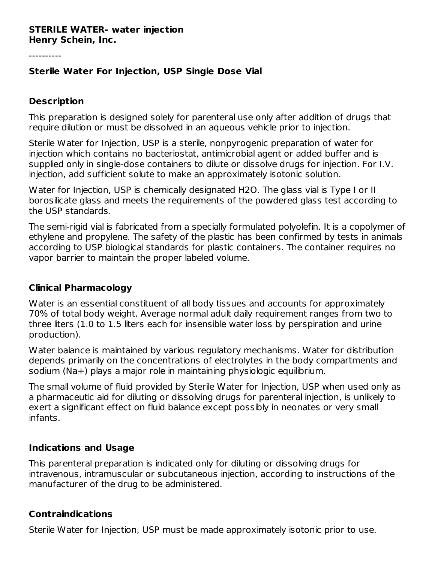#### **STERILE WATER- water injection Henry Schein, Inc.**

----------

### **Sterile Water For Injection, USP Single Dose Vial**

#### **Description**

This preparation is designed solely for parenteral use only after addition of drugs that require dilution or must be dissolved in an aqueous vehicle prior to injection.

Sterile Water for Injection, USP is a sterile, nonpyrogenic preparation of water for injection which contains no bacteriostat, antimicrobial agent or added buffer and is supplied only in single-dose containers to dilute or dissolve drugs for injection. For I.V. injection, add sufficient solute to make an approximately isotonic solution.

Water for Injection, USP is chemically designated H2O. The glass vial is Type I or II borosilicate glass and meets the requirements of the powdered glass test according to the USP standards.

The semi-rigid vial is fabricated from a specially formulated polyolefin. It is a copolymer of ethylene and propylene. The safety of the plastic has been confirmed by tests in animals according to USP biological standards for plastic containers. The container requires no vapor barrier to maintain the proper labeled volume.

#### **Clinical Pharmacology**

Water is an essential constituent of all body tissues and accounts for approximately 70% of total body weight. Average normal adult daily requirement ranges from two to three liters (1.0 to 1.5 liters each for insensible water loss by perspiration and urine production).

Water balance is maintained by various regulatory mechanisms. Water for distribution depends primarily on the concentrations of electrolytes in the body compartments and sodium (Na+) plays a major role in maintaining physiologic equilibrium.

The small volume of fluid provided by Sterile Water for Injection, USP when used only as a pharmaceutic aid for diluting or dissolving drugs for parenteral injection, is unlikely to exert a significant effect on fluid balance except possibly in neonates or very small infants.

#### **Indications and Usage**

This parenteral preparation is indicated only for diluting or dissolving drugs for intravenous, intramuscular or subcutaneous injection, according to instructions of the manufacturer of the drug to be administered.

#### **Contraindications**

Sterile Water for Injection, USP must be made approximately isotonic prior to use.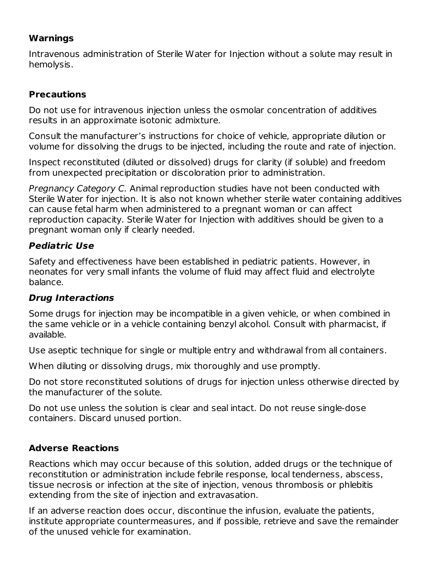# **Warnings**

Intravenous administration of Sterile Water for Injection without a solute may result in hemolysis.

# **Precautions**

Do not use for intravenous injection unless the osmolar concentration of additives results in an approximate isotonic admixture.

Consult the manufacturer's instructions for choice of vehicle, appropriate dilution or volume for dissolving the drugs to be injected, including the route and rate of injection.

Inspect reconstituted (diluted or dissolved) drugs for clarity (if soluble) and freedom from unexpected precipitation or discoloration prior to administration.

Pregnancy Category C. Animal reproduction studies have not been conducted with Sterile Water for injection. It is also not known whether sterile water containing additives can cause fetal harm when administered to a pregnant woman or can affect reproduction capacity. Sterile Water for Injection with additives should be given to a pregnant woman only if clearly needed.

# **Pediatric Use**

Safety and effectiveness have been established in pediatric patients. However, in neonates for very small infants the volume of fluid may affect fluid and electrolyte balance.

## **Drug Interactions**

Some drugs for injection may be incompatible in a given vehicle, or when combined in the same vehicle or in a vehicle containing benzyl alcohol. Consult with pharmacist, if available.

Use aseptic technique for single or multiple entry and withdrawal from all containers.

When diluting or dissolving drugs, mix thoroughly and use promptly.

Do not store reconstituted solutions of drugs for injection unless otherwise directed by the manufacturer of the solute.

Do not use unless the solution is clear and seal intact. Do not reuse single-dose containers. Discard unused portion.

# **Adverse Reactions**

Reactions which may occur because of this solution, added drugs or the technique of reconstitution or administration include febrile response, local tenderness, abscess, tissue necrosis or infection at the site of injection, venous thrombosis or phlebitis extending from the site of injection and extravasation.

If an adverse reaction does occur, discontinue the infusion, evaluate the patients, institute appropriate countermeasures, and if possible, retrieve and save the remainder of the unused vehicle for examination.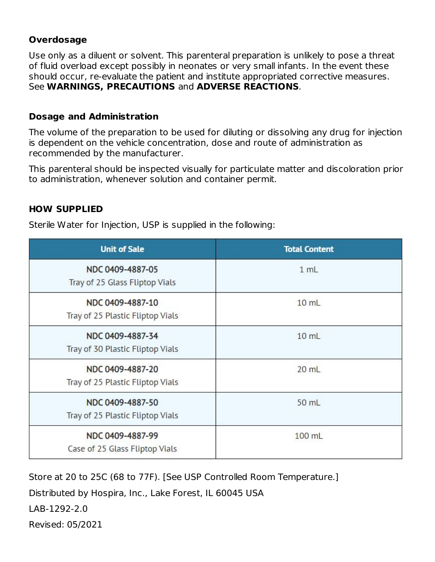# **Overdosage**

Use only as a diluent or solvent. This parenteral preparation is unlikely to pose a threat of fluid overload except possibly in neonates or very small infants. In the event these should occur, re-evaluate the patient and institute appropriated corrective measures. See **WARNINGS, PRECAUTIONS** and **ADVERSE REACTIONS**.

## **Dosage and Administration**

The volume of the preparation to be used for diluting or dissolving any drug for injection is dependent on the vehicle concentration, dose and route of administration as recommended by the manufacturer.

This parenteral should be inspected visually for particulate matter and discoloration prior to administration, whenever solution and container permit.

# **HOW SUPPLIED**

Sterile Water for Injection, USP is supplied in the following:

| <b>Unit of Sale</b>                                  | <b>Total Content</b> |  |  |
|------------------------------------------------------|----------------------|--|--|
| NDC 0409-4887-05<br>Tray of 25 Glass Fliptop Vials   | 1 mL                 |  |  |
| NDC 0409-4887-10<br>Tray of 25 Plastic Fliptop Vials | $10$ mL              |  |  |
| NDC 0409-4887-34<br>Tray of 30 Plastic Fliptop Vials | 10 mL                |  |  |
| NDC 0409-4887-20<br>Tray of 25 Plastic Fliptop Vials | $20$ mL              |  |  |
| NDC 0409-4887-50<br>Tray of 25 Plastic Fliptop Vials | 50 mL                |  |  |
| NDC 0409-4887-99<br>Case of 25 Glass Fliptop Vials   | 100 mL               |  |  |

Store at 20 to 25C (68 to 77F). [See USP Controlled Room Temperature.]

Distributed by Hospira, Inc., Lake Forest, IL 60045 USA

LAB-1292-2.0

Revised: 05/2021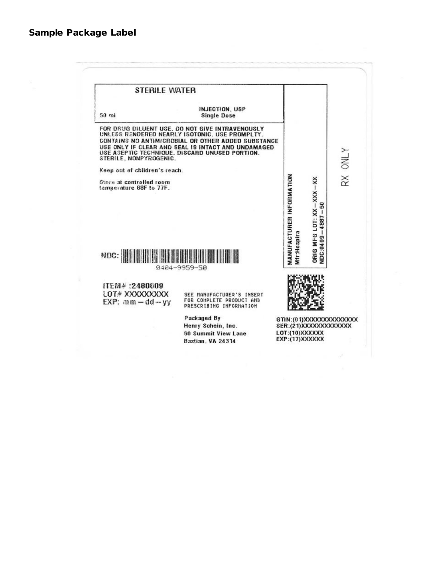| <b>STERILE WATER</b>                                |                                                                                                                                                                                                                                                                 |                                                                                           |
|-----------------------------------------------------|-----------------------------------------------------------------------------------------------------------------------------------------------------------------------------------------------------------------------------------------------------------------|-------------------------------------------------------------------------------------------|
| 50 <sub>mi</sub>                                    | INJECTION, USP<br><b>Single Dose</b>                                                                                                                                                                                                                            |                                                                                           |
| STERILE, NONPYROGENIC.                              | FOR DRUG DILUENT USE, DO NOT GIVE INTRAVENOUSLY<br>UNLESS RENDERED NEARLY ISOTONIC. USE PROMPLTY.<br>CONTAINS NO ANTIMICROBIAL OR OTHER ADDED SUBSTANCE<br>USE ONLY IF CLEAR AND SEAL IS INTACT AND UNDAMAGED<br>USE ASEPTIC TECHNIQUE, DISCARD UNUSED PORTION. | <b>A TNO</b>                                                                              |
| Keep out of children's reach.                       |                                                                                                                                                                                                                                                                 |                                                                                           |
| Store at controlled room<br>temperature 68F to 77F. |                                                                                                                                                                                                                                                                 | $\stackrel{\times}{\scriptstyle \times}$<br>ຘ<br>T                                        |
| NDC:                                                | 9404-9959-50                                                                                                                                                                                                                                                    | MANUFACTURER INFORMATION<br>ORIG MFG LOT: XX-XXX-XX<br>$-4887$<br>Mfr:Hospira<br>NDC:0409 |
| IFM# : 2480609                                      |                                                                                                                                                                                                                                                                 |                                                                                           |
| LOT# XXXXXXXXX<br>$EXP: am - dd - vy$               | SEE MANUFACTURER'S INSERT<br>FOR COMPLETE PRODUCT AND<br>PRESCRIBING INFORMATION                                                                                                                                                                                |                                                                                           |
|                                                     | Packaged By                                                                                                                                                                                                                                                     | GTIN:(01)XXXXXXXXXXXXXXX                                                                  |
|                                                     | Henry Schein, Inc.                                                                                                                                                                                                                                              | SER:(21)XXXXXXXXXXXXXX<br>LOT:(10)XXXXXX                                                  |
|                                                     | <b>80 Summit View Lane</b><br>Bastian, VA 24314                                                                                                                                                                                                                 | EXP:(17)XXXXXX                                                                            |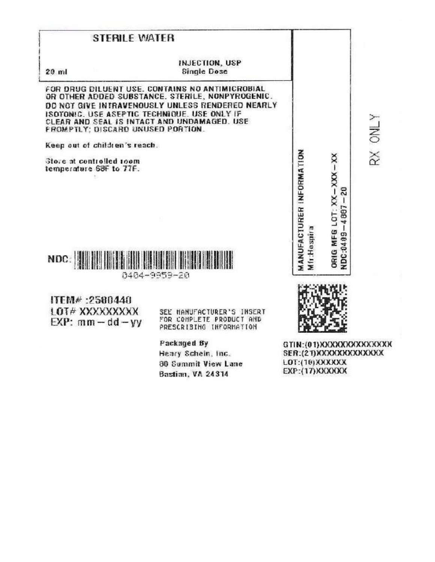## **STERILE WATER**

 $20 \mathrm{ml}$ 

#### INJECTION, USP **Single Dose**

FOR DRUG DILUENT USE. CONTAINS NO ANTIMICROBIAL OR OTHER ADDED SUBSTANCE. STERILE, NONPYROGENIC. DO NOT GIVE INTRAVENOUSLY UNLESS RENDERED NEARLY ISOTONIC, USE ASEPTIC TECHNIQUE, USE ONLY IF CLEAR AND SEAL IS INTACT AND UNDAMAGED. USE FROMPTLY: DISCARD UNUSED PORTION.

Keep out of children's reach.

Store at controlled toom temperature 68F to 77F.



8484-9959-20

ITEM# : 2580440 LOT# XXXXXXXXX  $EXP: mm - dd - vy$ 

SEE HANUFACTURER'S INSERT FOR COMPLETE PRODUCT AND PRESCRIBING INFORMATION

Packaged By Heary Schein, Inc. **30 Summit View Lane** Bastian, VA 24314

**MANUFACTURER INFORMATION** ORIG MFG LOT: XX-XXX - XX NDC:0409-4867-20 Mfr:Hospira

**NTAO**  $\breve{\approx}$ 



GTIN:(01)XXXXXXXXXXXXX SER:(21) XXXXXXXXXXXXXXX LOT: (10) XXXXXX EXP: (17) XXXXXXX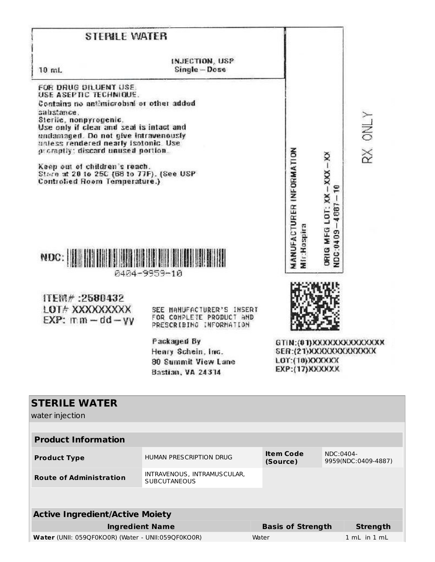| <b>STERILE WATER</b>                                                                                                                                                                                                                                                                                                                                                                                                       |                                                                                                                                                                          |                       |                                                |                                                     |                           |
|----------------------------------------------------------------------------------------------------------------------------------------------------------------------------------------------------------------------------------------------------------------------------------------------------------------------------------------------------------------------------------------------------------------------------|--------------------------------------------------------------------------------------------------------------------------------------------------------------------------|-----------------------|------------------------------------------------|-----------------------------------------------------|---------------------------|
| 10 mL                                                                                                                                                                                                                                                                                                                                                                                                                      | INJECTION, USP<br>Single-Dose                                                                                                                                            |                       |                                                |                                                     |                           |
| FOR DRUG DILUENT USE.<br>USE ASEPTIC TECHNIQUE.<br>Contains no antimicrobial or other added<br>sabstance.<br>Sterile, nonpyrogenic.<br>Use only if clear and seal is intact and<br>undamaged. Do not give intravenously<br>unless rendered nearly isotonic. Use<br>promptly: discard unused portion.<br>Keep out of children's reach.<br>Stain at 20 to 25C (68 to 77F). (See USP<br>Controlled Room Temperature.)<br>NDC: | 0404-9959-10                                                                                                                                                             |                       | <b>MANUFACTURER INFORMATION</b><br>Mir:Hospira | ORIG MFG LOT: XX-XXX-XX<br>E<br>$-4887$<br>NDC:0409 | RX ONLY                   |
| ITEM#:2580432<br><b>LOT# XXXXXXXXX</b><br>$EXP:$ mm $-$ dd $-$ yy                                                                                                                                                                                                                                                                                                                                                          | SEE MANUFACTURER'S INSERT<br>FOR COMPLETE PRODUCT AND<br>PRESCRIBING INFORMATION<br>Packaged By<br>Henry Schein, Inc.<br><b>80 Summit View Lane</b><br>Bastian, VA 24314 |                       | LOT: (10) XXXXXX<br><b>EXP:(17) XXXXXXX</b>    | SER:(21))OCXXXXXXXXXXXX                             | GTIN: (01) XXXXXXXXXXXXXX |
| <b>STERILE WATER</b><br>water injection                                                                                                                                                                                                                                                                                                                                                                                    |                                                                                                                                                                          |                       |                                                |                                                     |                           |
| <b>Product Information</b>                                                                                                                                                                                                                                                                                                                                                                                                 |                                                                                                                                                                          |                       |                                                |                                                     |                           |
| <b>Product Type</b>                                                                                                                                                                                                                                                                                                                                                                                                        | HUMAN PRESCRIPTION DRUG                                                                                                                                                  | Item Code<br>(Source) |                                                | NDC:0404-                                           | 9959(NDC:0409-4887)       |
| <b>Route of Administration</b>                                                                                                                                                                                                                                                                                                                                                                                             | INTRAVENOUS, INTRAMUSCULAR,<br><b>SUBCUTANEOUS</b>                                                                                                                       |                       |                                                |                                                     |                           |

| <b>Active Ingredient/Active Moiety</b>             |                          |                  |  |  |  |  |
|----------------------------------------------------|--------------------------|------------------|--|--|--|--|
| <b>Ingredient Name</b>                             | <b>Basis of Strength</b> | Strength         |  |  |  |  |
| Water (UNII: 059QF0KO0R) (Water - UNII:059QF0KO0R) | Water                    | $1 mL$ in $1 mL$ |  |  |  |  |